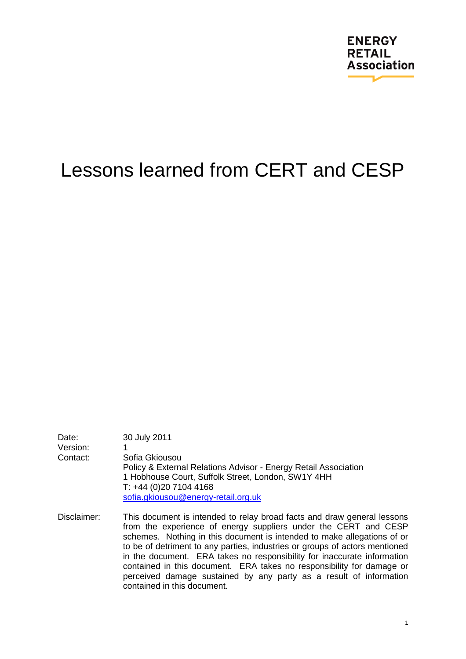

# Lessons learned from CERT and CESP

| Date:<br>Version:<br>Contact: | 30 July 2011<br>Sofia Gkiousou<br>Policy & External Relations Advisor - Energy Retail Association<br>1 Hobhouse Court, Suffolk Street, London, SW1Y 4HH<br>$T: +44(0)2071044168$<br>sofia.gkiousou@energy-retail.org.uk |
|-------------------------------|-------------------------------------------------------------------------------------------------------------------------------------------------------------------------------------------------------------------------|
| Disclaimer:                   | This document is intended to relay broad facts and draw general lessons<br>from the experience of energy suppliers under the CERT and CESP                                                                              |

d CESP schemes. Nothing in this document is intended to make allegations of or to be of detriment to any parties, industries or groups of actors mentioned in the document. ERA takes no responsibility for inaccurate information contained in this document. ERA takes no responsibility for damage or perceived damage sustained by any party as a result of information contained in this document.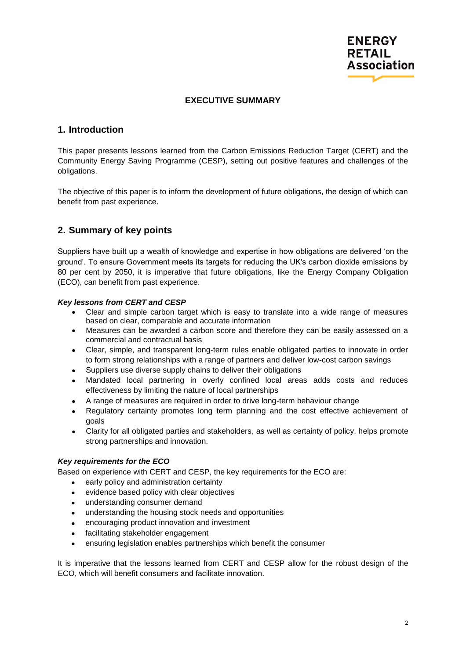

#### **EXECUTIVE SUMMARY**

## <span id="page-1-0"></span>**1. Introduction**

This paper presents lessons learned from the Carbon Emissions Reduction Target (CERT) and the Community Energy Saving Programme (CESP), setting out positive features and challenges of the obligations.

The objective of this paper is to inform the development of future obligations, the design of which can benefit from past experience.

## <span id="page-1-1"></span>**2. Summary of key points**

Suppliers have built up a wealth of knowledge and expertise in how obligations are delivered "on the ground". To ensure Government meets its targets for reducing the UK's carbon dioxide emissions by 80 per cent by 2050, it is imperative that future obligations, like the Energy Company Obligation (ECO), can benefit from past experience.

#### *Key lessons from CERT and CESP*

- Clear and simple carbon target which is easy to translate into a wide range of measures based on clear, comparable and accurate information
- Measures can be awarded a carbon score and therefore they can be easily assessed on a commercial and contractual basis
- Clear, simple, and transparent long-term rules enable obligated parties to innovate in order to form strong relationships with a range of partners and deliver low-cost carbon savings
- Suppliers use diverse supply chains to deliver their obligations
- Mandated local partnering in overly confined local areas adds costs and reduces effectiveness by limiting the nature of local partnerships
- A range of measures are required in order to drive long-term behaviour change
- Regulatory certainty promotes long term planning and the cost effective achievement of goals
- Clarity for all obligated parties and stakeholders, as well as certainty of policy, helps promote strong partnerships and innovation.

#### *Key requirements for the ECO*

Based on experience with CERT and CESP, the key requirements for the ECO are:

- early policy and administration certainty
- evidence based policy with clear objectives
- understanding consumer demand
- understanding the housing stock needs and opportunities
- encouraging product innovation and investment
- facilitating stakeholder engagement
- ensuring legislation enables partnerships which benefit the consumer

It is imperative that the lessons learned from CERT and CESP allow for the robust design of the ECO, which will benefit consumers and facilitate innovation.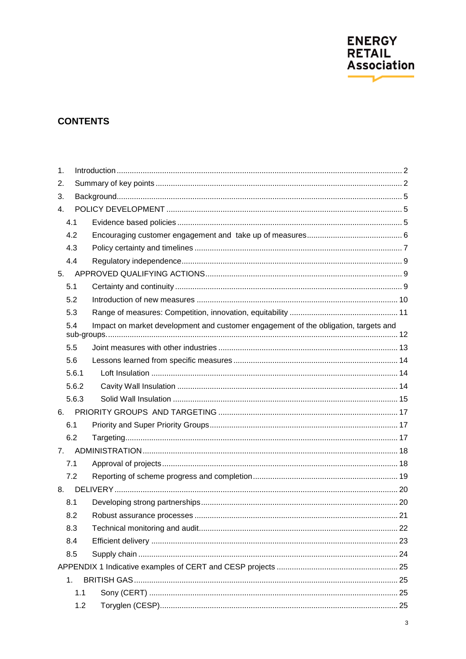

## **CONTENTS**

| 1.  |       |                                                                                     |  |
|-----|-------|-------------------------------------------------------------------------------------|--|
| 2.  |       |                                                                                     |  |
| 3.  |       |                                                                                     |  |
| 4.  |       |                                                                                     |  |
| 4.1 |       |                                                                                     |  |
| 4.2 |       |                                                                                     |  |
| 4.3 |       |                                                                                     |  |
| 4.4 |       |                                                                                     |  |
| 5.  |       |                                                                                     |  |
| 5.1 |       |                                                                                     |  |
| 5.2 |       |                                                                                     |  |
| 5.3 |       |                                                                                     |  |
| 5.4 |       | Impact on market development and customer engagement of the obligation, targets and |  |
| 5.5 |       |                                                                                     |  |
| 5.6 |       |                                                                                     |  |
|     | 5.6.1 |                                                                                     |  |
|     | 5.6.2 |                                                                                     |  |
|     | 5.6.3 |                                                                                     |  |
| 6.  |       |                                                                                     |  |
| 6.1 |       |                                                                                     |  |
| 6.2 |       |                                                                                     |  |
| 7.  |       |                                                                                     |  |
| 7.1 |       |                                                                                     |  |
| 7.2 |       |                                                                                     |  |
| 8.  |       |                                                                                     |  |
| 8.1 |       |                                                                                     |  |
| 8.2 |       |                                                                                     |  |
| 8.3 |       |                                                                                     |  |
| 8.4 |       |                                                                                     |  |
| 8.5 |       |                                                                                     |  |
|     |       |                                                                                     |  |
| 1.  |       |                                                                                     |  |
|     | 1.1   |                                                                                     |  |
|     | 1.2   |                                                                                     |  |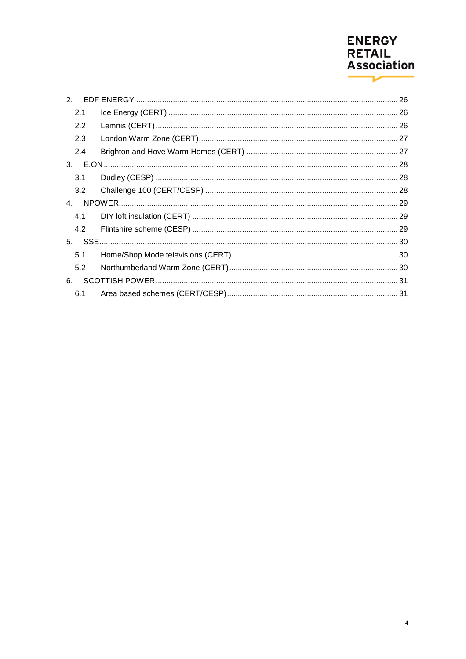# **ENERGY<br>RETAIL<br>Association**  $\overline{\phantom{a}}$

| $\mathcal{P}$ |  |
|---------------|--|
| 2.1           |  |
| 2.2           |  |
| 2.3           |  |
| 2.4           |  |
|               |  |
| 3.1           |  |
| 3.2           |  |
| 4.            |  |
| 4.1           |  |
| 4.2           |  |
|               |  |
| 5.1           |  |
| 5.2           |  |
| 6.            |  |
| 6.1           |  |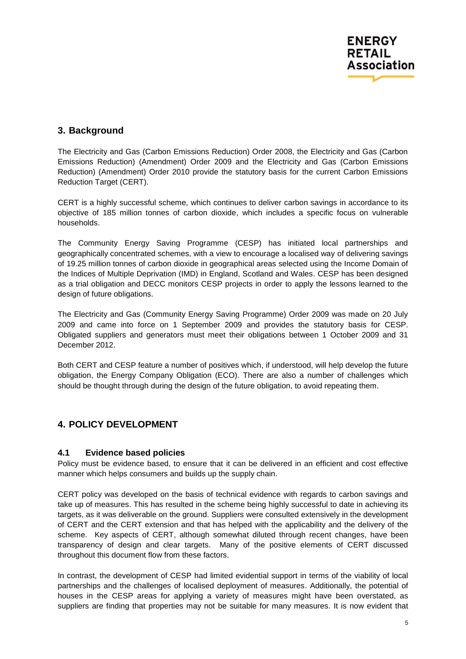## <span id="page-4-0"></span>**3. Background**

The Electricity and Gas (Carbon Emissions Reduction) Order 2008, the Electricity and Gas (Carbon Emissions Reduction) (Amendment) Order 2009 and the Electricity and Gas (Carbon Emissions Reduction) (Amendment) Order 2010 provide the statutory basis for the current Carbon Emissions Reduction Target (CERT).

CERT is a highly successful scheme, which continues to deliver carbon savings in accordance to its objective of 185 million tonnes of carbon dioxide, which includes a specific focus on vulnerable households.

The Community Energy Saving Programme (CESP) has initiated local partnerships and geographically concentrated schemes, with a view to encourage a localised way of delivering savings of 19.25 million tonnes of carbon dioxide in geographical areas selected using the Income Domain of the Indices of Multiple Deprivation (IMD) in England, Scotland and Wales. CESP has been designed as a trial obligation and DECC monitors CESP projects in order to apply the lessons learned to the design of future obligations.

The Electricity and Gas (Community Energy Saving Programme) Order 2009 was made on 20 July 2009 and came into force on 1 September 2009 and provides the statutory basis for CESP. Obligated suppliers and generators must meet their obligations between 1 October 2009 and 31 December 2012.

Both CERT and CESP feature a number of positives which, if understood, will help develop the future obligation, the Energy Company Obligation (ECO). There are also a number of challenges which should be thought through during the design of the future obligation, to avoid repeating them.

## <span id="page-4-1"></span>**4. POLICY DEVELOPMENT**

#### <span id="page-4-2"></span>**4.1 Evidence based policies**

Policy must be evidence based, to ensure that it can be delivered in an efficient and cost effective manner which helps consumers and builds up the supply chain.

CERT policy was developed on the basis of technical evidence with regards to carbon savings and take up of measures. This has resulted in the scheme being highly successful to date in achieving its targets, as it was deliverable on the ground. Suppliers were consulted extensively in the development of CERT and the CERT extension and that has helped with the applicability and the delivery of the scheme. Key aspects of CERT, although somewhat diluted through recent changes, have been transparency of design and clear targets. Many of the positive elements of CERT discussed throughout this document flow from these factors.

In contrast, the development of CESP had limited evidential support in terms of the viability of local partnerships and the challenges of localised deployment of measures. Additionally, the potential of houses in the CESP areas for applying a variety of measures might have been overstated, as suppliers are finding that properties may not be suitable for many measures. It is now evident that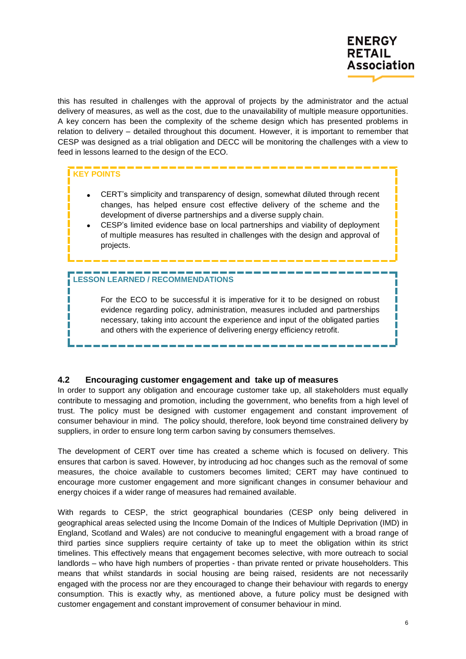

this has resulted in challenges with the approval of projects by the administrator and the actual delivery of measures, as well as the cost, due to the unavailability of multiple measure opportunities. A key concern has been the complexity of the scheme design which has presented problems in relation to delivery – detailed throughout this document. However, it is important to remember that CESP was designed as a trial obligation and DECC will be monitoring the challenges with a view to feed in lessons learned to the design of the ECO.

#### **KEY POINTS**

- CERT"s simplicity and transparency of design, somewhat diluted through recent changes, has helped ensure cost effective delivery of the scheme and the development of diverse partnerships and a diverse supply chain.
- CESP"s limited evidence base on local partnerships and viability of deployment of multiple measures has resulted in challenges with the design and approval of projects.

## **LESSON LEARNED / RECOMMENDATIONS**

For the ECO to be successful it is imperative for it to be designed on robust evidence regarding policy, administration, measures included and partnerships necessary, taking into account the experience and input of the obligated parties and others with the experience of delivering energy efficiency retrofit.

#### <span id="page-5-0"></span>**4.2 Encouraging customer engagement and take up of measures**

In order to support any obligation and encourage customer take up, all stakeholders must equally contribute to messaging and promotion, including the government, who benefits from a high level of trust. The policy must be designed with customer engagement and constant improvement of consumer behaviour in mind. The policy should, therefore, look beyond time constrained delivery by suppliers, in order to ensure long term carbon saving by consumers themselves.

The development of CERT over time has created a scheme which is focused on delivery. This ensures that carbon is saved. However, by introducing ad hoc changes such as the removal of some measures, the choice available to customers becomes limited; CERT may have continued to encourage more customer engagement and more significant changes in consumer behaviour and energy choices if a wider range of measures had remained available.

With regards to CESP, the strict geographical boundaries (CESP only being delivered in geographical areas selected using the Income Domain of the Indices of Multiple Deprivation (IMD) in England, Scotland and Wales) are not conducive to meaningful engagement with a broad range of third parties since suppliers require certainty of take up to meet the obligation within its strict timelines. This effectively means that engagement becomes selective, with more outreach to social landlords – who have high numbers of properties - than private rented or private householders. This means that whilst standards in social housing are being raised, residents are not necessarily engaged with the process nor are they encouraged to change their behaviour with regards to energy consumption. This is exactly why, as mentioned above, a future policy must be designed with customer engagement and constant improvement of consumer behaviour in mind.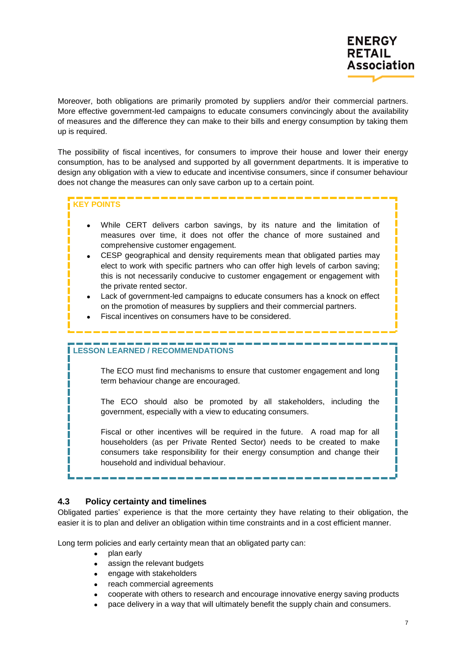Moreover, both obligations are primarily promoted by suppliers and/or their commercial partners. More effective government-led campaigns to educate consumers convincingly about the availability of measures and the difference they can make to their bills and energy consumption by taking them up is required.

The possibility of fiscal incentives, for consumers to improve their house and lower their energy consumption, has to be analysed and supported by all government departments. It is imperative to design any obligation with a view to educate and incentivise consumers, since if consumer behaviour does not change the measures can only save carbon up to a certain point.

## **KEY POINTS**

- While CERT delivers carbon savings, by its nature and the limitation of measures over time, it does not offer the chance of more sustained and comprehensive customer engagement.
- CESP geographical and density requirements mean that obligated parties may elect to work with specific partners who can offer high levels of carbon saving; this is not necessarily conducive to customer engagement or engagement with the private rented sector.
- Lack of government-led campaigns to educate consumers has a knock on effect on the promotion of measures by suppliers and their commercial partners.
- Fiscal incentives on consumers have to be considered.

## **LESSON LEARNED / RECOMMENDATIONS**

The ECO must find mechanisms to ensure that customer engagement and long term behaviour change are encouraged.

The ECO should also be promoted by all stakeholders, including the government, especially with a view to educating consumers.

Fiscal or other incentives will be required in the future. A road map for all householders (as per Private Rented Sector) needs to be created to make consumers take responsibility for their energy consumption and change their household and individual behaviour.

#### <span id="page-6-0"></span>**4.3 Policy certainty and timelines**

Obligated parties' experience is that the more certainty they have relating to their obligation, the easier it is to plan and deliver an obligation within time constraints and in a cost efficient manner.

Long term policies and early certainty mean that an obligated party can:

- plan early
- assign the relevant budgets
- engage with stakeholders
- reach commercial agreements
- cooperate with others to research and encourage innovative energy saving products
- pace delivery in a way that will ultimately benefit the supply chain and consumers.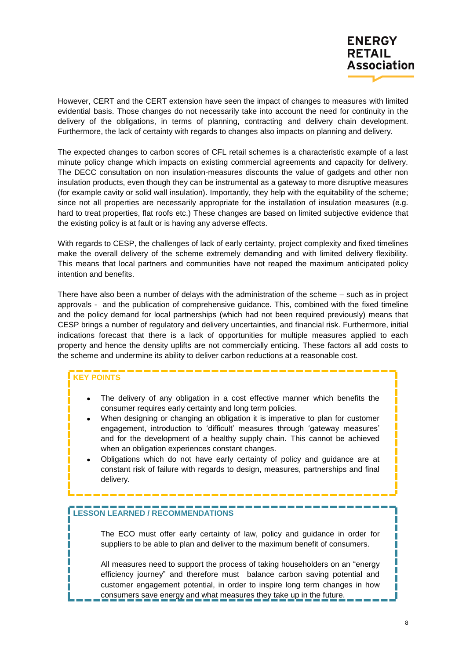

However, CERT and the CERT extension have seen the impact of changes to measures with limited evidential basis. Those changes do not necessarily take into account the need for continuity in the delivery of the obligations, in terms of planning, contracting and delivery chain development. Furthermore, the lack of certainty with regards to changes also impacts on planning and delivery.

The expected changes to carbon scores of CFL retail schemes is a characteristic example of a last minute policy change which impacts on existing commercial agreements and capacity for delivery. The DECC consultation on non insulation-measures discounts the value of gadgets and other non insulation products, even though they can be instrumental as a gateway to more disruptive measures (for example cavity or solid wall insulation). Importantly, they help with the equitability of the scheme; since not all properties are necessarily appropriate for the installation of insulation measures (e.g. hard to treat properties, flat roofs etc.) These changes are based on limited subjective evidence that the existing policy is at fault or is having any adverse effects.

With regards to CESP, the challenges of lack of early certainty, project complexity and fixed timelines make the overall delivery of the scheme extremely demanding and with limited delivery flexibility. This means that local partners and communities have not reaped the maximum anticipated policy intention and benefits.

There have also been a number of delays with the administration of the scheme – such as in project approvals - and the publication of comprehensive guidance. This, combined with the fixed timeline and the policy demand for local partnerships (which had not been required previously) means that CESP brings a number of regulatory and delivery uncertainties, and financial risk. Furthermore, initial indications forecast that there is a lack of opportunities for multiple measures applied to each property and hence the density uplifts are not commercially enticing. These factors all add costs to the scheme and undermine its ability to deliver carbon reductions at a reasonable cost.

#### **KEY POINTS**

I T

- The delivery of any obligation in a cost effective manner which benefits the consumer requires early certainty and long term policies.
- When designing or changing an obligation it is imperative to plan for customer engagement, introduction to "difficult" measures through "gateway measures" and for the development of a healthy supply chain. This cannot be achieved when an obligation experiences constant changes.
- Obligations which do not have early certainty of policy and guidance are at constant risk of failure with regards to design, measures, partnerships and final delivery.

#### **LESSON LEARNED / RECOMMENDATIONS**

The ECO must offer early certainty of law, policy and guidance in order for suppliers to be able to plan and deliver to the maximum benefit of consumers.

All measures need to support the process of taking householders on an "energy efficiency journey" and therefore must balance carbon saving potential and customer engagement potential, in order to inspire long term changes in how consumers save energy and what measures they take up in the future.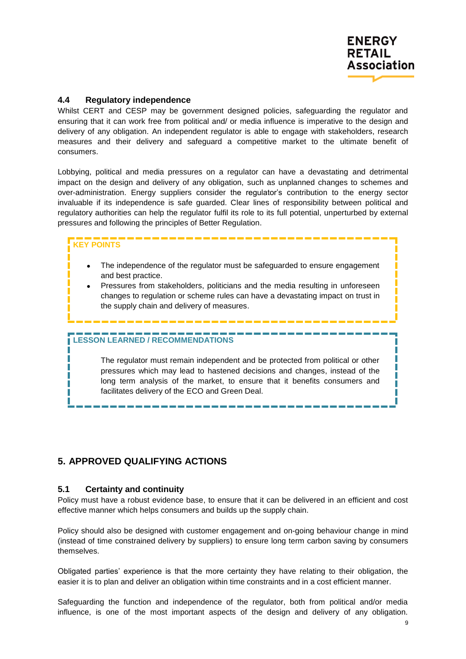

#### <span id="page-8-0"></span>**4.4 Regulatory independence**

Whilst CERT and CESP may be government designed policies, safeguarding the regulator and ensuring that it can work free from political and/ or media influence is imperative to the design and delivery of any obligation. An independent regulator is able to engage with stakeholders, research measures and their delivery and safeguard a competitive market to the ultimate benefit of consumers.

Lobbying, political and media pressures on a regulator can have a devastating and detrimental impact on the design and delivery of any obligation, such as unplanned changes to schemes and over-administration. Energy suppliers consider the regulator's contribution to the energy sector invaluable if its independence is safe guarded. Clear lines of responsibility between political and regulatory authorities can help the regulator fulfil its role to its full potential, unperturbed by external pressures and following the principles of Better Regulation.

## **KEY POINTS**

- The independence of the regulator must be safeguarded to ensure engagement and best practice.
- Pressures from stakeholders, politicians and the media resulting in unforeseen changes to regulation or scheme rules can have a devastating impact on trust in the supply chain and delivery of measures.

## **LESSON LEARNED / RECOMMENDATIONS**

The regulator must remain independent and be protected from political or other pressures which may lead to hastened decisions and changes, instead of the long term analysis of the market, to ensure that it benefits consumers and facilitates delivery of the ECO and Green Deal.

## <span id="page-8-1"></span>**5. APPROVED QUALIFYING ACTIONS**

#### <span id="page-8-2"></span>**5.1 Certainty and continuity**

Policy must have a robust evidence base, to ensure that it can be delivered in an efficient and cost effective manner which helps consumers and builds up the supply chain.

Policy should also be designed with customer engagement and on-going behaviour change in mind (instead of time constrained delivery by suppliers) to ensure long term carbon saving by consumers themselves.

Obligated parties" experience is that the more certainty they have relating to their obligation, the easier it is to plan and deliver an obligation within time constraints and in a cost efficient manner.

Safeguarding the function and independence of the regulator, both from political and/or media influence, is one of the most important aspects of the design and delivery of any obligation.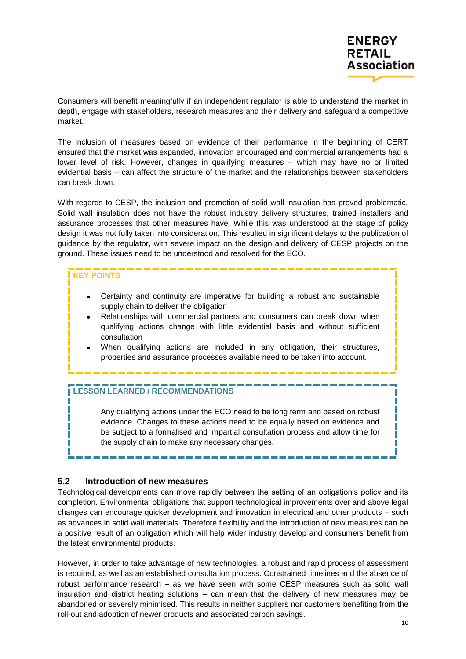

Consumers will benefit meaningfully if an independent regulator is able to understand the market in depth, engage with stakeholders, research measures and their delivery and safeguard a competitive market.

The inclusion of measures based on evidence of their performance in the beginning of CERT ensured that the market was expanded, innovation encouraged and commercial arrangements had a lower level of risk. However, changes in qualifying measures – which may have no or limited evidential basis – can affect the structure of the market and the relationships between stakeholders can break down.

With regards to CESP, the inclusion and promotion of solid wall insulation has proved problematic. Solid wall insulation does not have the robust industry delivery structures, trained installers and assurance processes that other measures have. While this was understood at the stage of policy design it was not fully taken into consideration. This resulted in significant delays to the publication of guidance by the regulator, with severe impact on the design and delivery of CESP projects on the ground. These issues need to be understood and resolved for the ECO.

#### **KEY POINTS**

T

- Certainty and continuity are imperative for building a robust and sustainable supply chain to deliver the obligation
- Relationships with commercial partners and consumers can break down when qualifying actions change with little evidential basis and without sufficient consultation
- When qualifying actions are included in any obligation, their structures, properties and assurance processes available need to be taken into account.

#### **LESSON LEARNED / RECOMMENDATIONS**

Any qualifying actions under the ECO need to be long term and based on robust evidence. Changes to these actions need to be equally based on evidence and be subject to a formalised and impartial consultation process and allow time for the supply chain to make any necessary changes.

#### <span id="page-9-0"></span>**5.2 Introduction of new measures**

Technological developments can move rapidly between the setting of an obligation"s policy and its completion. Environmental obligations that support technological improvements over and above legal changes can encourage quicker development and innovation in electrical and other products – such as advances in solid wall materials. Therefore flexibility and the introduction of new measures can be a positive result of an obligation which will help wider industry develop and consumers benefit from the latest environmental products.

However, in order to take advantage of new technologies, a robust and rapid process of assessment is required, as well as an established consultation process. Constrained timelines and the absence of robust performance research – as we have seen with some CESP measures such as solid wall insulation and district heating solutions – can mean that the delivery of new measures may be abandoned or severely minimised. This results in neither suppliers nor customers benefiting from the roll-out and adoption of newer products and associated carbon savings.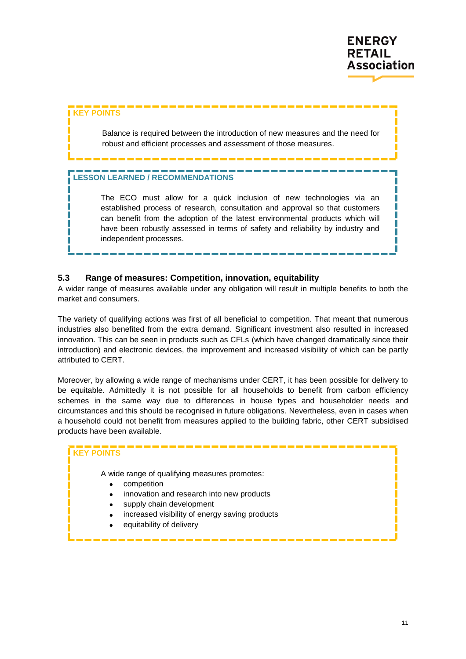

#### **KEY POINTS**

Balance is required between the introduction of new measures and the need for robust and efficient processes and assessment of those measures.

#### **LESSON LEARNED / RECOMMENDATIONS**

The ECO must allow for a quick inclusion of new technologies via an established process of research, consultation and approval so that customers can benefit from the adoption of the latest environmental products which will have been robustly assessed in terms of safety and reliability by industry and independent processes.

#### <span id="page-10-0"></span>**5.3 Range of measures: Competition, innovation, equitability**

A wider range of measures available under any obligation will result in multiple benefits to both the market and consumers.

The variety of qualifying actions was first of all beneficial to competition. That meant that numerous industries also benefited from the extra demand. Significant investment also resulted in increased innovation. This can be seen in products such as CFLs (which have changed dramatically since their introduction) and electronic devices, the improvement and increased visibility of which can be partly attributed to CERT.

Moreover, by allowing a wide range of mechanisms under CERT, it has been possible for delivery to be equitable. Admittedly it is not possible for all households to benefit from carbon efficiency schemes in the same way due to differences in house types and householder needs and circumstances and this should be recognised in future obligations. Nevertheless, even in cases when a household could not benefit from measures applied to the building fabric, other CERT subsidised products have been available.

#### **KEY POINTS**

A wide range of qualifying measures promotes:

- **•** competition
- innovation and research into new products
- supply chain development
- increased visibility of energy saving products
- equitability of delivery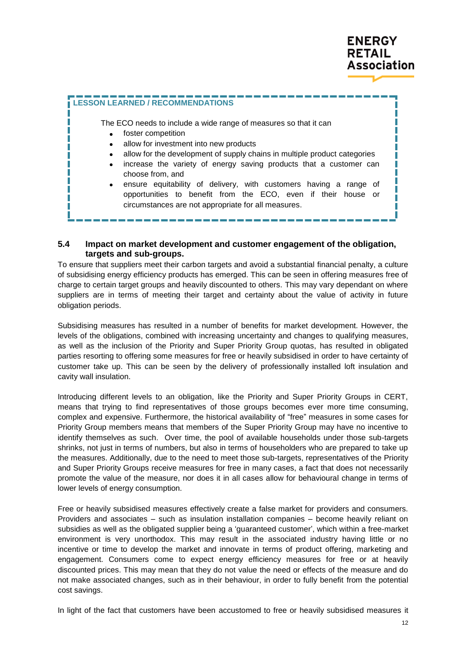



#### <span id="page-11-0"></span>**5.4 Impact on market development and customer engagement of the obligation, targets and sub-groups.**

To ensure that suppliers meet their carbon targets and avoid a substantial financial penalty, a culture of subsidising energy efficiency products has emerged. This can be seen in offering measures free of charge to certain target groups and heavily discounted to others. This may vary dependant on where suppliers are in terms of meeting their target and certainty about the value of activity in future obligation periods.

Subsidising measures has resulted in a number of benefits for market development. However, the levels of the obligations, combined with increasing uncertainty and changes to qualifying measures, as well as the inclusion of the Priority and Super Priority Group quotas, has resulted in obligated parties resorting to offering some measures for free or heavily subsidised in order to have certainty of customer take up. This can be seen by the delivery of professionally installed loft insulation and cavity wall insulation.

Introducing different levels to an obligation, like the Priority and Super Priority Groups in CERT, means that trying to find representatives of those groups becomes ever more time consuming, complex and expensive. Furthermore, the historical availability of "free" measures in some cases for Priority Group members means that members of the Super Priority Group may have no incentive to identify themselves as such. Over time, the pool of available households under those sub-targets shrinks, not just in terms of numbers, but also in terms of householders who are prepared to take up the measures. Additionally, due to the need to meet those sub-targets, representatives of the Priority and Super Priority Groups receive measures for free in many cases, a fact that does not necessarily promote the value of the measure, nor does it in all cases allow for behavioural change in terms of lower levels of energy consumption.

Free or heavily subsidised measures effectively create a false market for providers and consumers. Providers and associates – such as insulation installation companies – become heavily reliant on subsidies as well as the obligated supplier being a "guaranteed customer", which within a free-market environment is very unorthodox. This may result in the associated industry having little or no incentive or time to develop the market and innovate in terms of product offering, marketing and engagement. Consumers come to expect energy efficiency measures for free or at heavily discounted prices. This may mean that they do not value the need or effects of the measure and do not make associated changes, such as in their behaviour, in order to fully benefit from the potential cost savings.

In light of the fact that customers have been accustomed to free or heavily subsidised measures it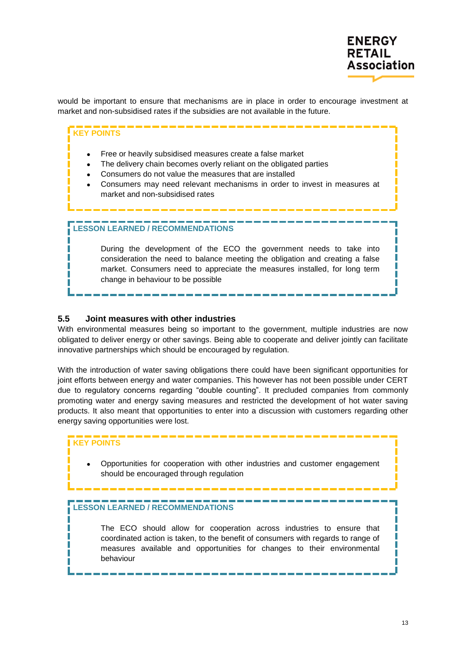

would be important to ensure that mechanisms are in place in order to encourage investment at market and non-subsidised rates if the subsidies are not available in the future.

#### **KEY POINTS**

- Free or heavily subsidised measures create a false market
- The delivery chain becomes overly reliant on the obligated parties
- Consumers do not value the measures that are installed
- Consumers may need relevant mechanisms in order to invest in measures at market and non-subsidised rates

#### **LESSON LEARNED / RECOMMENDATIONS**

During the development of the ECO the government needs to take into consideration the need to balance meeting the obligation and creating a false market. Consumers need to appreciate the measures installed, for long term change in behaviour to be possible

#### <span id="page-12-0"></span>**5.5 Joint measures with other industries**

With environmental measures being so important to the government, multiple industries are now obligated to deliver energy or other savings. Being able to cooperate and deliver jointly can facilitate innovative partnerships which should be encouraged by regulation.

With the introduction of water saving obligations there could have been significant opportunities for joint efforts between energy and water companies. This however has not been possible under CERT due to regulatory concerns regarding "double counting". It precluded companies from commonly promoting water and energy saving measures and restricted the development of hot water saving products. It also meant that opportunities to enter into a discussion with customers regarding other energy saving opportunities were lost.

#### **KEY POINTS**

 Opportunities for cooperation with other industries and customer engagement should be encouraged through regulation

#### **LESSON LEARNED / RECOMMENDATIONS**

The ECO should allow for cooperation across industries to ensure that coordinated action is taken, to the benefit of consumers with regards to range of measures available and opportunities for changes to their environmental behaviour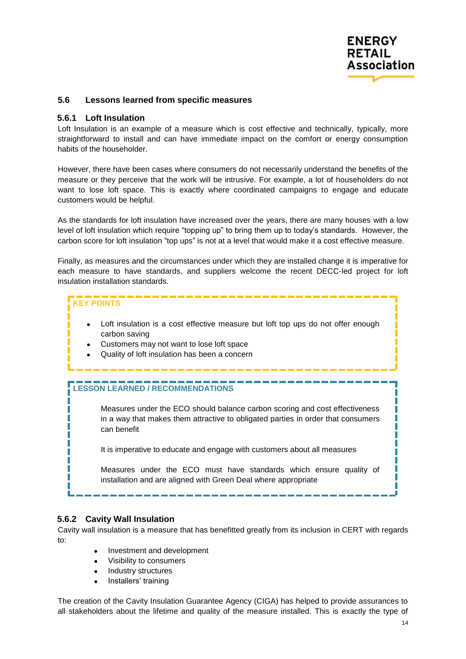

#### <span id="page-13-0"></span>**5.6 Lessons learned from specific measures**

#### <span id="page-13-1"></span>**5.6.1 Loft Insulation**

Loft Insulation is an example of a measure which is cost effective and technically, typically, more straightforward to install and can have immediate impact on the comfort or energy consumption habits of the householder.

However, there have been cases where consumers do not necessarily understand the benefits of the measure or they perceive that the work will be intrusive. For example, a lot of householders do not want to lose loft space. This is exactly where coordinated campaigns to engage and educate customers would be helpful.

As the standards for loft insulation have increased over the years, there are many houses with a low level of loft insulation which require "topping up" to bring them up to today"s standards. However, the carbon score for loft insulation "top ups" is not at a level that would make it a cost effective measure.

Finally, as measures and the circumstances under which they are installed change it is imperative for each measure to have standards, and suppliers welcome the recent DECC-led project for loft insulation installation standards.

#### **KEY POINTS**

- Loft insulation is a cost effective measure but loft top ups do not offer enough carbon saving
	- Customers may not want to lose loft space
	- Quality of loft insulation has been a concern

#### **LESSON LEARNED / RECOMMENDATIONS**

Measures under the ECO should balance carbon scoring and cost effectiveness in a way that makes them attractive to obligated parties in order that consumers can benefit

It is imperative to educate and engage with customers about all measures

Measures under the ECO must have standards which ensure quality of installation and are aligned with Green Deal where appropriate

#### <span id="page-13-2"></span>**5.6.2 Cavity Wall Insulation**

Cavity wall insulation is a measure that has benefitted greatly from its inclusion in CERT with regards to:

- Investment and development
- Visibility to consumers
- Industry structures
- Installers' training

The creation of the Cavity Insulation Guarantee Agency (CIGA) has helped to provide assurances to all stakeholders about the lifetime and quality of the measure installed. This is exactly the type of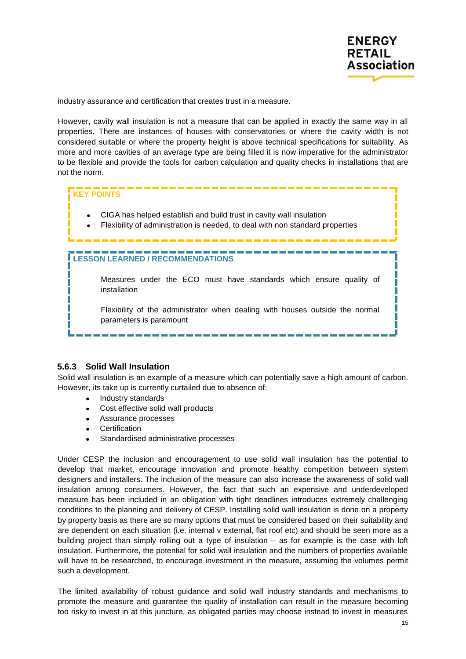

industry assurance and certification that creates trust in a measure.

However, cavity wall insulation is not a measure that can be applied in exactly the same way in all properties. There are instances of houses with conservatories or where the cavity width is not considered suitable or where the property height is above technical specifications for suitability. As more and more cavities of an average type are being filled it is now imperative for the administrator to be flexible and provide the tools for carbon calculation and quality checks in installations that are not the norm.

#### **KEY POINTS**

- CIGA has helped establish and build trust in cavity wall insulation
	- Flexibility of administration is needed, to deal with non standard properties

#### **LESSON LEARNED / RECOMMENDATIONS**

Measures under the ECO must have standards which ensure quality of installation

Flexibility of the administrator when dealing with houses outside the normal parameters is paramount

#### <span id="page-14-0"></span>**5.6.3 Solid Wall Insulation**

Solid wall insulation is an example of a measure which can potentially save a high amount of carbon. However, its take up is currently curtailed due to absence of:

- Industry standards
- Cost effective solid wall products
- Assurance processes
- **Certification**
- Standardised administrative processes

Under CESP the inclusion and encouragement to use solid wall insulation has the potential to develop that market, encourage innovation and promote healthy competition between system designers and installers. The inclusion of the measure can also increase the awareness of solid wall insulation among consumers. However, the fact that such an expensive and underdeveloped measure has been included in an obligation with tight deadlines introduces extremely challenging conditions to the planning and delivery of CESP. Installing solid wall insulation is done on a property by property basis as there are so many options that must be considered based on their suitability and are dependent on each situation (i.e. internal v external, flat roof etc) and should be seen more as a building project than simply rolling out a type of insulation – as for example is the case with loft insulation. Furthermore, the potential for solid wall insulation and the numbers of properties available will have to be researched, to encourage investment in the measure, assuming the volumes permit such a development.

The limited availability of robust guidance and solid wall industry standards and mechanisms to promote the measure and guarantee the quality of installation can result in the measure becoming too risky to invest in at this juncture, as obligated parties may choose instead to invest in measures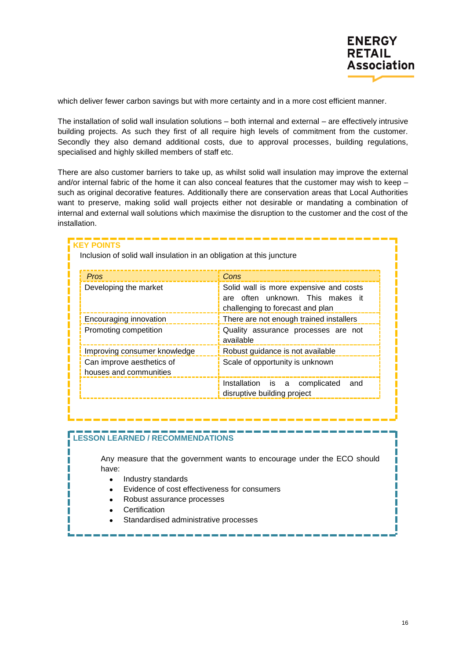

which deliver fewer carbon savings but with more certainty and in a more cost efficient manner.

The installation of solid wall insulation solutions – both internal and external – are effectively intrusive building projects. As such they first of all require high levels of commitment from the customer. Secondly they also demand additional costs, due to approval processes, building regulations, specialised and highly skilled members of staff etc.

There are also customer barriers to take up, as whilst solid wall insulation may improve the external and/or internal fabric of the home it can also conceal features that the customer may wish to keep – such as original decorative features. Additionally there are conservation areas that Local Authorities want to preserve, making solid wall projects either not desirable or mandating a combination of internal and external wall solutions which maximise the disruption to the customer and the cost of the installation.

#### **KEY POINTS**

Inclusion of solid wall insulation in an obligation at this juncture

| <b>Pros</b>                                         | Cons                                                                                                           |
|-----------------------------------------------------|----------------------------------------------------------------------------------------------------------------|
| Developing the market                               | Solid wall is more expensive and costs<br>are often unknown. This makes it<br>challenging to forecast and plan |
| Encouraging innovation                              | There are not enough trained installers                                                                        |
| Promoting competition                               | Quality assurance processes are not<br>available                                                               |
| Improving consumer knowledge                        | Robust guidance is not available                                                                               |
| Can improve aesthetics of<br>houses and communities | Scale of opportunity is unknown                                                                                |
|                                                     | Installation is a complicated<br>and<br>disruptive building project                                            |

#### **LESSON LEARNED / RECOMMENDATIONS**

Any measure that the government wants to encourage under the ECO should have:

- Industry standards
- Evidence of cost effectiveness for consumers
- Robust assurance processes
- **Certification**
- Standardised administrative processes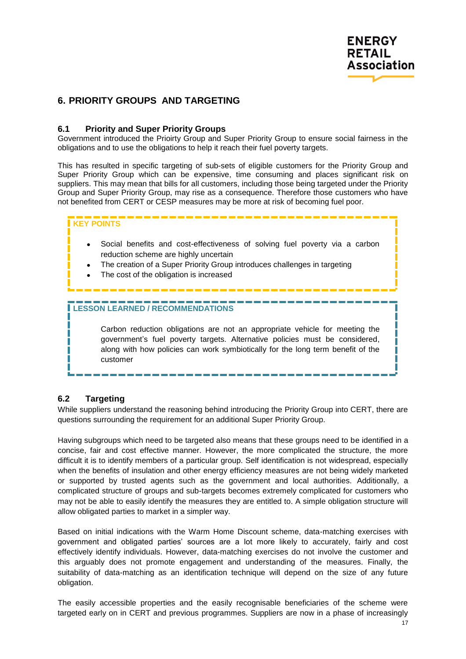

## <span id="page-16-0"></span>**6. PRIORITY GROUPS AND TARGETING**

#### <span id="page-16-1"></span>**6.1 Priority and Super Priority Groups**

Government introduced the Prioirty Group and Super Priority Group to ensure social fairness in the obligations and to use the obligations to help it reach their fuel poverty targets.

This has resulted in specific targeting of sub-sets of eligible customers for the Priority Group and Super Priority Group which can be expensive, time consuming and places significant risk on suppliers. This may mean that bills for all customers, including those being targeted under the Priority Group and Super Priority Group, may rise as a consequence. Therefore those customers who have not benefited from CERT or CESP measures may be more at risk of becoming fuel poor.

#### **KEY POINTS**

- Social benefits and cost-effectiveness of solving fuel poverty via a carbon reduction scheme are highly uncertain
- The creation of a Super Priority Group introduces challenges in targeting
- The cost of the obligation is increased

#### **LESSON LEARNED / RECOMMENDATIONS**

Carbon reduction obligations are not an appropriate vehicle for meeting the government"s fuel poverty targets. Alternative policies must be considered, along with how policies can work symbiotically for the long term benefit of the customer

#### <span id="page-16-2"></span>**6.2 Targeting**

While suppliers understand the reasoning behind introducing the Priority Group into CERT, there are questions surrounding the requirement for an additional Super Priority Group.

Having subgroups which need to be targeted also means that these groups need to be identified in a concise, fair and cost effective manner. However, the more complicated the structure, the more difficult it is to identify members of a particular group. Self identification is not widespread, especially when the benefits of insulation and other energy efficiency measures are not being widely marketed or supported by trusted agents such as the government and local authorities. Additionally, a complicated structure of groups and sub-targets becomes extremely complicated for customers who may not be able to easily identify the measures they are entitled to. A simple obligation structure will allow obligated parties to market in a simpler way.

Based on initial indications with the Warm Home Discount scheme, data-matching exercises with government and obligated parties" sources are a lot more likely to accurately, fairly and cost effectively identify individuals. However, data-matching exercises do not involve the customer and this arguably does not promote engagement and understanding of the measures. Finally, the suitability of data-matching as an identification technique will depend on the size of any future obligation.

The easily accessible properties and the easily recognisable beneficiaries of the scheme were targeted early on in CERT and previous programmes. Suppliers are now in a phase of increasingly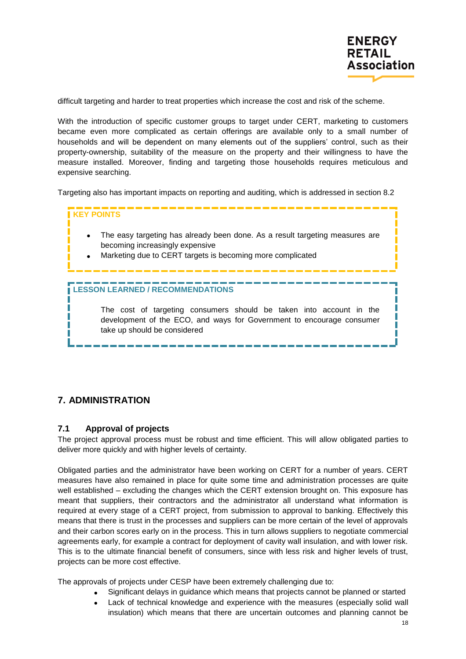

difficult targeting and harder to treat properties which increase the cost and risk of the scheme.

With the introduction of specific customer groups to target under CERT, marketing to customers became even more complicated as certain offerings are available only to a small number of households and will be dependent on many elements out of the suppliers' control, such as their property-ownership, suitability of the measure on the property and their willingness to have the measure installed. Moreover, finding and targeting those households requires meticulous and expensive searching.

Targeting also has important impacts on reporting and auditing, which is addressed in section 8.2



## <span id="page-17-0"></span>**7. ADMINISTRATION**

#### <span id="page-17-1"></span>**7.1 Approval of projects**

The project approval process must be robust and time efficient. This will allow obligated parties to deliver more quickly and with higher levels of certainty.

Obligated parties and the administrator have been working on CERT for a number of years. CERT measures have also remained in place for quite some time and administration processes are quite well established – excluding the changes which the CERT extension brought on. This exposure has meant that suppliers, their contractors and the administrator all understand what information is required at every stage of a CERT project, from submission to approval to banking. Effectively this means that there is trust in the processes and suppliers can be more certain of the level of approvals and their carbon scores early on in the process. This in turn allows suppliers to negotiate commercial agreements early, for example a contract for deployment of cavity wall insulation, and with lower risk. This is to the ultimate financial benefit of consumers, since with less risk and higher levels of trust, projects can be more cost effective.

The approvals of projects under CESP have been extremely challenging due to:

- Significant delays in guidance which means that projects cannot be planned or started
- Lack of technical knowledge and experience with the measures (especially solid wall insulation) which means that there are uncertain outcomes and planning cannot be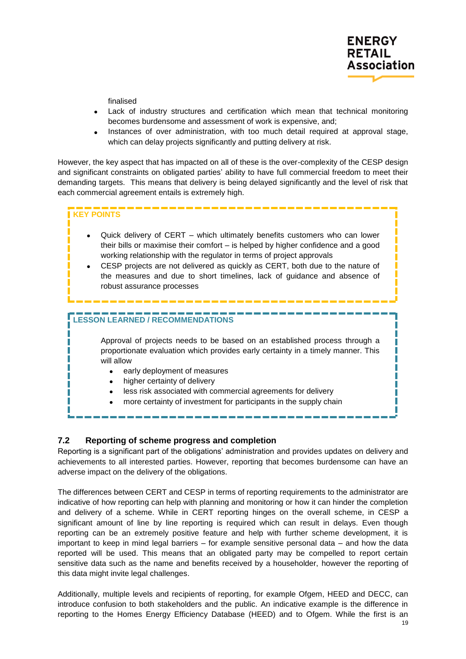

finalised

- Lack of industry structures and certification which mean that technical monitoring becomes burdensome and assessment of work is expensive, and;
- Instances of over administration, with too much detail required at approval stage, which can delay projects significantly and putting delivery at risk.

However, the key aspect that has impacted on all of these is the over-complexity of the CESP design and significant constraints on obligated parties" ability to have full commercial freedom to meet their demanding targets. This means that delivery is being delayed significantly and the level of risk that each commercial agreement entails is extremely high.

## **KEY POINTS**  Quick delivery of CERT – which ultimately benefits customers who can lower their bills or maximise their comfort – is helped by higher confidence and a good working relationship with the regulator in terms of project approvals CESP projects are not delivered as quickly as CERT, both due to the nature of the measures and due to short timelines, lack of guidance and absence of robust assurance processes **LESSON LEARNED / RECOMMENDATIONS** Approval of projects needs to be based on an established process through a proportionate evaluation which provides early certainty in a timely manner. This will allow • early deployment of measures higher certainty of delivery less risk associated with commercial agreements for delivery more certainty of investment for participants in the supply chain

#### <span id="page-18-0"></span>**7.2 Reporting of scheme progress and completion**

Reporting is a significant part of the obligations" administration and provides updates on delivery and achievements to all interested parties. However, reporting that becomes burdensome can have an adverse impact on the delivery of the obligations.

The differences between CERT and CESP in terms of reporting requirements to the administrator are indicative of how reporting can help with planning and monitoring or how it can hinder the completion and delivery of a scheme. While in CERT reporting hinges on the overall scheme, in CESP a significant amount of line by line reporting is required which can result in delays. Even though reporting can be an extremely positive feature and help with further scheme development, it is important to keep in mind legal barriers – for example sensitive personal data – and how the data reported will be used. This means that an obligated party may be compelled to report certain sensitive data such as the name and benefits received by a householder, however the reporting of this data might invite legal challenges.

Additionally, multiple levels and recipients of reporting, for example Ofgem, HEED and DECC, can introduce confusion to both stakeholders and the public. An indicative example is the difference in reporting to the Homes Energy Efficiency Database (HEED) and to Ofgem. While the first is an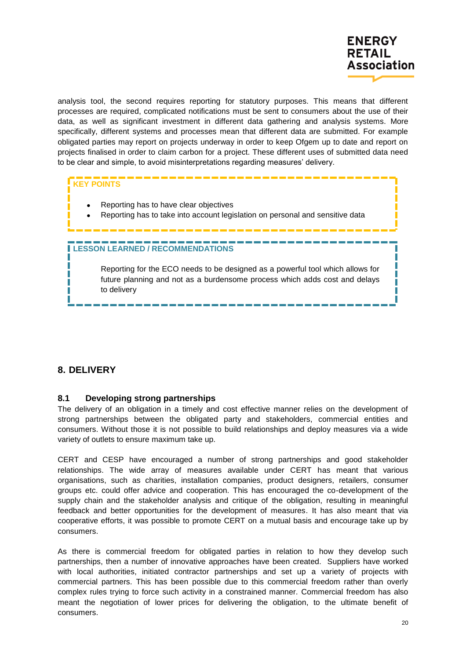

analysis tool, the second requires reporting for statutory purposes. This means that different processes are required, complicated notifications must be sent to consumers about the use of their data, as well as significant investment in different data gathering and analysis systems. More specifically, different systems and processes mean that different data are submitted. For example obligated parties may report on projects underway in order to keep Ofgem up to date and report on projects finalised in order to claim carbon for a project. These different uses of submitted data need to be clear and simple, to avoid misinterpretations regarding measures" delivery.

## **KEY POINTS**

- Reporting has to have clear objectives
- Reporting has to take into account legislation on personal and sensitive data

#### **LESSON LEARNED / RECOMMENDATIONS**

Reporting for the ECO needs to be designed as a powerful tool which allows for future planning and not as a burdensome process which adds cost and delays to delivery

#### <span id="page-19-0"></span>**8. DELIVERY**

#### <span id="page-19-1"></span>**8.1 Developing strong partnerships**

The delivery of an obligation in a timely and cost effective manner relies on the development of strong partnerships between the obligated party and stakeholders, commercial entities and consumers. Without those it is not possible to build relationships and deploy measures via a wide variety of outlets to ensure maximum take up.

CERT and CESP have encouraged a number of strong partnerships and good stakeholder relationships. The wide array of measures available under CERT has meant that various organisations, such as charities, installation companies, product designers, retailers, consumer groups etc. could offer advice and cooperation. This has encouraged the co-development of the supply chain and the stakeholder analysis and critique of the obligation, resulting in meaningful feedback and better opportunities for the development of measures. It has also meant that via cooperative efforts, it was possible to promote CERT on a mutual basis and encourage take up by consumers.

As there is commercial freedom for obligated parties in relation to how they develop such partnerships, then a number of innovative approaches have been created. Suppliers have worked with local authorities, initiated contractor partnerships and set up a variety of projects with commercial partners. This has been possible due to this commercial freedom rather than overly complex rules trying to force such activity in a constrained manner. Commercial freedom has also meant the negotiation of lower prices for delivering the obligation, to the ultimate benefit of consumers.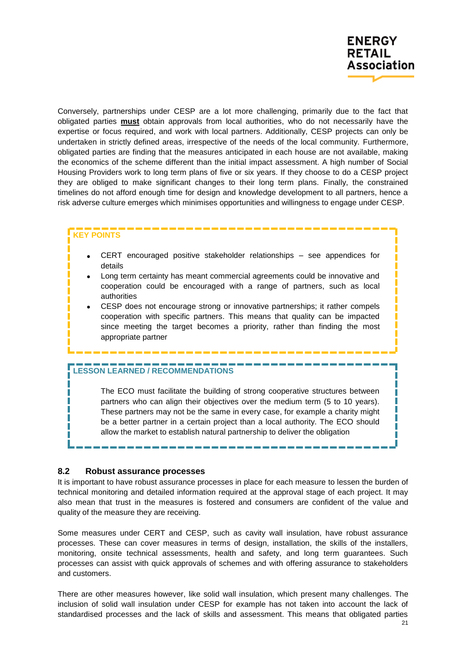

Conversely, partnerships under CESP are a lot more challenging, primarily due to the fact that obligated parties **must** obtain approvals from local authorities, who do not necessarily have the expertise or focus required, and work with local partners. Additionally, CESP projects can only be undertaken in strictly defined areas, irrespective of the needs of the local community. Furthermore, obligated parties are finding that the measures anticipated in each house are not available, making the economics of the scheme different than the initial impact assessment. A high number of Social Housing Providers work to long term plans of five or six years. If they choose to do a CESP project they are obliged to make significant changes to their long term plans. Finally, the constrained timelines do not afford enough time for design and knowledge development to all partners, hence a risk adverse culture emerges which minimises opportunities and willingness to engage under CESP.

#### **KEY POINTS**

- CERT encouraged positive stakeholder relationships see appendices for details
- Long term certainty has meant commercial agreements could be innovative and cooperation could be encouraged with a range of partners, such as local authorities
- CESP does not encourage strong or innovative partnerships; it rather compels cooperation with specific partners. This means that quality can be impacted since meeting the target becomes a priority, rather than finding the most appropriate partner

#### **LESSON LEARNED / RECOMMENDATIONS**

The ECO must facilitate the building of strong cooperative structures between partners who can align their objectives over the medium term (5 to 10 years). These partners may not be the same in every case, for example a charity might be a better partner in a certain project than a local authority. The ECO should allow the market to establish natural partnership to deliver the obligation

#### <span id="page-20-0"></span>**8.2 Robust assurance processes**

It is important to have robust assurance processes in place for each measure to lessen the burden of technical monitoring and detailed information required at the approval stage of each project. It may also mean that trust in the measures is fostered and consumers are confident of the value and quality of the measure they are receiving.

Some measures under CERT and CESP, such as cavity wall insulation, have robust assurance processes. These can cover measures in terms of design, installation, the skills of the installers, monitoring, onsite technical assessments, health and safety, and long term guarantees. Such processes can assist with quick approvals of schemes and with offering assurance to stakeholders and customers.

There are other measures however, like solid wall insulation, which present many challenges. The inclusion of solid wall insulation under CESP for example has not taken into account the lack of standardised processes and the lack of skills and assessment. This means that obligated parties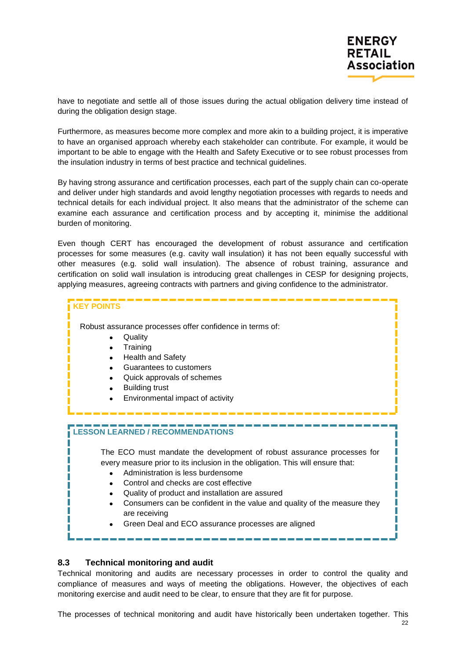

have to negotiate and settle all of those issues during the actual obligation delivery time instead of during the obligation design stage.

Furthermore, as measures become more complex and more akin to a building project, it is imperative to have an organised approach whereby each stakeholder can contribute. For example, it would be important to be able to engage with the Health and Safety Executive or to see robust processes from the insulation industry in terms of best practice and technical guidelines.

By having strong assurance and certification processes, each part of the supply chain can co-operate and deliver under high standards and avoid lengthy negotiation processes with regards to needs and technical details for each individual project. It also means that the administrator of the scheme can examine each assurance and certification process and by accepting it, minimise the additional burden of monitoring.

Even though CERT has encouraged the development of robust assurance and certification processes for some measures (e.g. cavity wall insulation) it has not been equally successful with other measures (e.g. solid wall insulation). The absence of robust training, assurance and certification on solid wall insulation is introducing great challenges in CESP for designing projects, applying measures, agreeing contracts with partners and giving confidence to the administrator.



#### <span id="page-21-0"></span>**8.3 Technical monitoring and audit**

Technical monitoring and audits are necessary processes in order to control the quality and compliance of measures and ways of meeting the obligations. However, the objectives of each monitoring exercise and audit need to be clear, to ensure that they are fit for purpose.

The processes of technical monitoring and audit have historically been undertaken together. This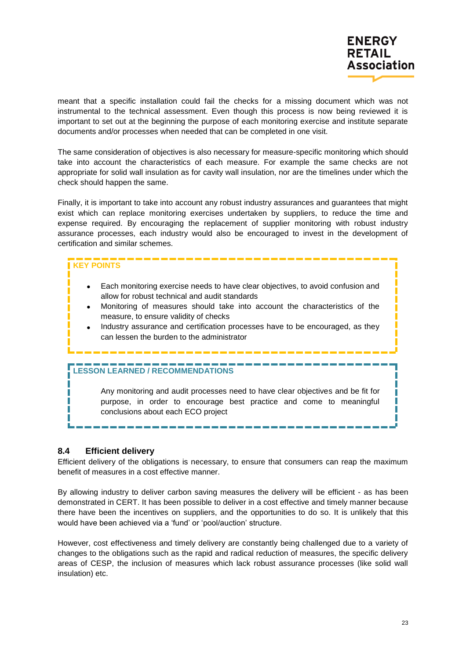meant that a specific installation could fail the checks for a missing document which was not instrumental to the technical assessment. Even though this process is now being reviewed it is important to set out at the beginning the purpose of each monitoring exercise and institute separate documents and/or processes when needed that can be completed in one visit.

The same consideration of objectives is also necessary for measure-specific monitoring which should take into account the characteristics of each measure. For example the same checks are not appropriate for solid wall insulation as for cavity wall insulation, nor are the timelines under which the check should happen the same.

Finally, it is important to take into account any robust industry assurances and guarantees that might exist which can replace monitoring exercises undertaken by suppliers, to reduce the time and expense required. By encouraging the replacement of supplier monitoring with robust industry assurance processes, each industry would also be encouraged to invest in the development of certification and similar schemes.

## **KEY POINTS**

- Each monitoring exercise needs to have clear objectives, to avoid confusion and allow for robust technical and audit standards
- Monitoring of measures should take into account the characteristics of the measure, to ensure validity of checks
- Industry assurance and certification processes have to be encouraged, as they can lessen the burden to the administrator

#### **LESSON LEARNED / RECOMMENDATIONS**

Any monitoring and audit processes need to have clear objectives and be fit for purpose, in order to encourage best practice and come to meaningful conclusions about each ECO project

#### <span id="page-22-0"></span>**8.4 Efficient delivery**

П

Efficient delivery of the obligations is necessary, to ensure that consumers can reap the maximum benefit of measures in a cost effective manner.

By allowing industry to deliver carbon saving measures the delivery will be efficient - as has been demonstrated in CERT. It has been possible to deliver in a cost effective and timely manner because there have been the incentives on suppliers, and the opportunities to do so. It is unlikely that this would have been achieved via a "fund" or "pool/auction" structure.

However, cost effectiveness and timely delivery are constantly being challenged due to a variety of changes to the obligations such as the rapid and radical reduction of measures, the specific delivery areas of CESP, the inclusion of measures which lack robust assurance processes (like solid wall insulation) etc.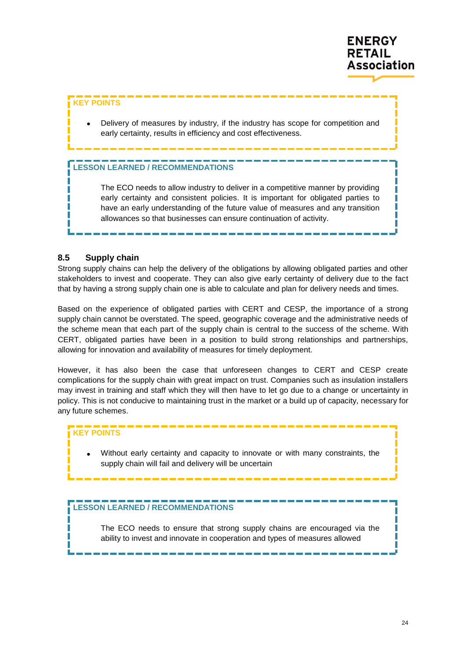

#### **KEY POINTS**

 Delivery of measures by industry, if the industry has scope for competition and early certainty, results in efficiency and cost effectiveness.

## **LESSON LEARNED / RECOMMENDATIONS**

The ECO needs to allow industry to deliver in a competitive manner by providing early certainty and consistent policies. It is important for obligated parties to have an early understanding of the future value of measures and any transition allowances so that businesses can ensure continuation of activity.

#### <span id="page-23-0"></span>**8.5 Supply chain**

Strong supply chains can help the delivery of the obligations by allowing obligated parties and other stakeholders to invest and cooperate. They can also give early certainty of delivery due to the fact that by having a strong supply chain one is able to calculate and plan for delivery needs and times.

Based on the experience of obligated parties with CERT and CESP, the importance of a strong supply chain cannot be overstated. The speed, geographic coverage and the administrative needs of the scheme mean that each part of the supply chain is central to the success of the scheme. With CERT, obligated parties have been in a position to build strong relationships and partnerships, allowing for innovation and availability of measures for timely deployment.

However, it has also been the case that unforeseen changes to CERT and CESP create complications for the supply chain with great impact on trust. Companies such as insulation installers may invest in training and staff which they will then have to let go due to a change or uncertainty in policy. This is not conducive to maintaining trust in the market or a build up of capacity, necessary for any future schemes.

#### **KEY POINTS**

 Without early certainty and capacity to innovate or with many constraints, the supply chain will fail and delivery will be uncertain

## **LESSON LEARNED / RECOMMENDATIONS**

The ECO needs to ensure that strong supply chains are encouraged via the ability to invest and innovate in cooperation and types of measures allowed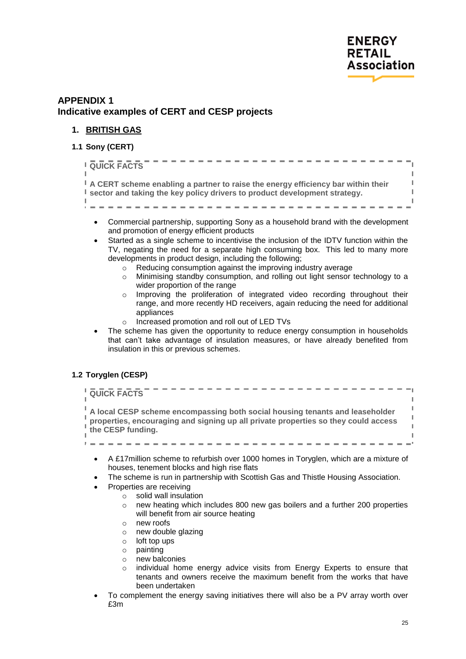

## <span id="page-24-0"></span>**APPENDIX 1 Indicative examples of CERT and CESP projects**

#### <span id="page-24-1"></span>**1. BRITISH GAS**

<span id="page-24-2"></span>**1.1 Sony (CERT)**

| <b>QUICK FACTS</b>                                                                                                                                              |  |
|-----------------------------------------------------------------------------------------------------------------------------------------------------------------|--|
| A CERT scheme enabling a partner to raise the energy efficiency bar within their<br>I sector and taking the key policy drivers to product development strategy. |  |

- Commercial partnership, supporting Sony as a household brand with the development and promotion of energy efficient products
- Started as a single scheme to incentivise the inclusion of the IDTV function within the TV, negating the need for a separate high consuming box. This led to many more developments in product design, including the following;
	- o Reducing consumption against the improving industry average
	- $\circ$  Minimising standby consumption, and rolling out light sensor technology to a wider proportion of the range
	- $\circ$  Improving the proliferation of integrated video recording throughout their range, and more recently HD receivers, again reducing the need for additional appliances
	- o Increased promotion and roll out of LED TVs
- The scheme has given the opportunity to reduce energy consumption in households that can"t take advantage of insulation measures, or have already benefited from insulation in this or previous schemes.

#### <span id="page-24-3"></span>**1.2 Toryglen (CESP)**



- $\circ$  new heating which includes 800 new gas boilers and a further 200 properties will benefit from air source heating
- o new roofs
- o new double glazing
- $\circ$  loft top ups<br> $\circ$  painting
- painting
- o new balconies
- o individual home energy advice visits from Energy Experts to ensure that tenants and owners receive the maximum benefit from the works that have been undertaken
- To complement the energy saving initiatives there will also be a PV array worth over £3m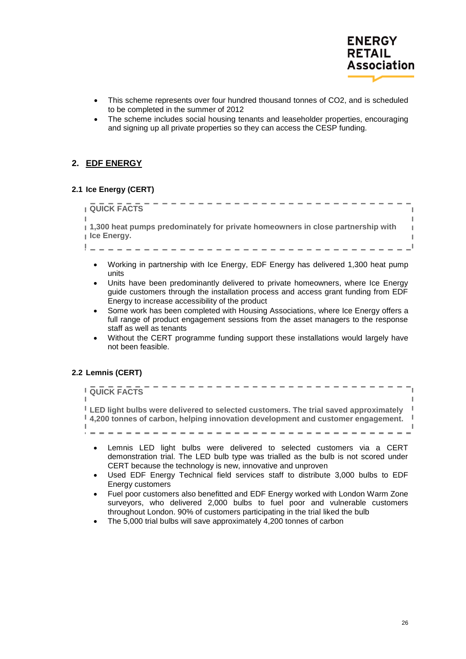

- This scheme represents over four hundred thousand tonnes of CO2, and is scheduled to be completed in the summer of 2012
- The scheme includes social housing tenants and leaseholder properties, encouraging and signing up all private properties so they can access the CESP funding.

#### <span id="page-25-0"></span>**2. EDF ENERGY**

## <span id="page-25-1"></span>**2.1 Ice Energy (CERT)**

## . <u>. . . . . . . . . . . . . . . .</u> . **QUICK FACTS 1,300 heat pumps predominately for private homeowners in close partnership with Ice Energy.**

- Working in partnership with Ice Energy, EDF Energy has delivered 1,300 heat pump units
- Units have been predominantly delivered to private homeowners, where Ice Energy guide customers through the installation process and access grant funding from EDF Energy to increase accessibility of the product
- Some work has been completed with Housing Associations, where Ice Energy offers a full range of product engagement sessions from the asset managers to the response staff as well as tenants
- Without the CERT programme funding support these installations would largely have not been feasible.

#### <span id="page-25-2"></span>**2.2 Lemnis (CERT)**

| <b>I</b> QUICK FACTS                                                                                                                                                                                  |  |
|-------------------------------------------------------------------------------------------------------------------------------------------------------------------------------------------------------|--|
| ELED light bulbs were delivered to selected customers. The trial saved approximately<br>$\frac{1}{2}$ , 4,200 tonnes of carbon, helping innovation development and customer engagement. $\frac{1}{2}$ |  |
|                                                                                                                                                                                                       |  |

- Lemnis LED light bulbs were delivered to selected customers via a CERT demonstration trial. The LED bulb type was trialled as the bulb is not scored under CERT because the technology is new, innovative and unproven
- Used EDF Energy Technical field services staff to distribute 3,000 bulbs to EDF Energy customers
- Fuel poor customers also benefitted and EDF Energy worked with London Warm Zone surveyors, who delivered 2,000 bulbs to fuel poor and vulnerable customers throughout London. 90% of customers participating in the trial liked the bulb
- The 5,000 trial bulbs will save approximately 4,200 tonnes of carbon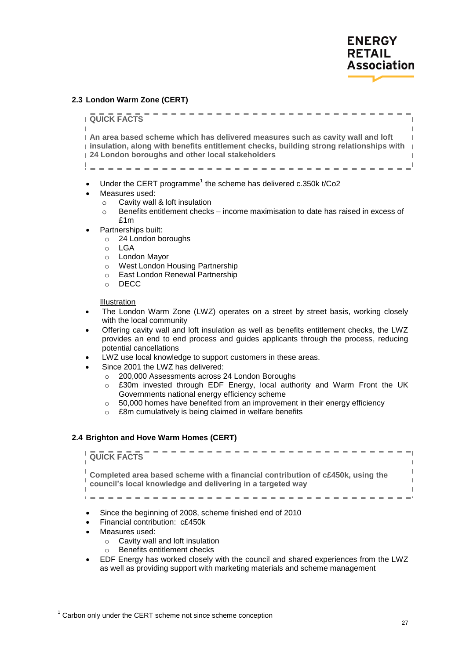#### <span id="page-26-0"></span>**2.3 London Warm Zone (CERT)**

-------------**LOUTCK FACTS**  $\mathbb{I}$ r **An area based scheme which has delivered measures such as cavity wall and loft**   $\mathbb T$ **insulation, along with benefits entitlement checks, building strong relationships with 24 London boroughs and other local stakeholders**  $\mathbf{L}^{\parallel}$ 

- Under the CERT programme<sup>1</sup> the scheme has delivered c.350k t/Co2
- Measures used:
	- o Cavity wall & loft insulation
	- $\circ$  Benefits entitlement checks income maximisation to date has raised in excess of £1m
	- Partnerships built:
		- o 24 London boroughs
		- o LGA
		- o London Mayor
		- o West London Housing Partnership
		- o East London Renewal Partnership
		- o DECC

Illustration

- The London Warm Zone (LWZ) operates on a street by street basis, working closely with the local community
- Offering cavity wall and loft insulation as well as benefits entitlement checks, the LWZ provides an end to end process and guides applicants through the process, reducing potential cancellations
- LWZ use local knowledge to support customers in these areas.
- Since 2001 the LWZ has delivered:
	- o 200,000 Assessments across 24 London Boroughs
	- $\circ$  £30m invested through EDF Energy, local authority and Warm Front the UK Governments national energy efficiency scheme
	- o 50,000 homes have benefited from an improvement in their energy efficiency
	- o £8m cumulatively is being claimed in welfare benefits

#### <span id="page-26-1"></span>**2.4 Brighton and Hove Warm Homes (CERT)**

| <b>QUICK FACTS</b>                                                                                                                        |  |
|-------------------------------------------------------------------------------------------------------------------------------------------|--|
| Completed area based scheme with a financial contribution of c£450k, using the council's local knowledge and delivering in a targeted way |  |
|                                                                                                                                           |  |

- Since the beginning of 2008, scheme finished end of 2010
- Financial contribution: c£450k
- Measures used:

 $\overline{a}$ 

- $\circ$  Cavity wall and loft insulation
- o Benefits entitlement checks
- EDF Energy has worked closely with the council and shared experiences from the LWZ as well as providing support with marketing materials and scheme management

<sup>&</sup>lt;sup>1</sup> Carbon only under the CERT scheme not since scheme conception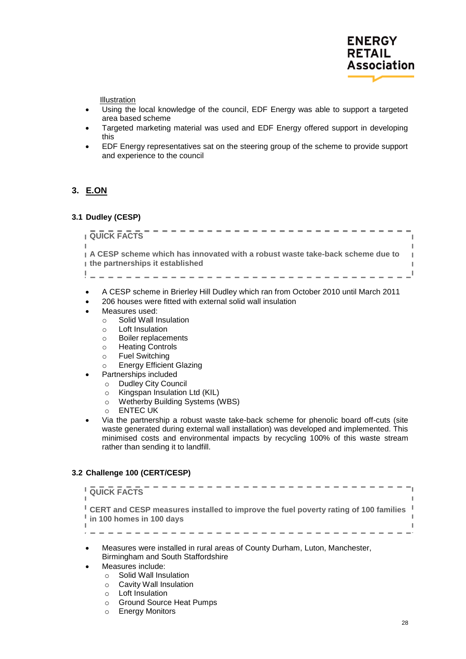

Ï  $\mathbb{I}$  $\blacksquare$ 

Illustration

- Using the local knowledge of the council, EDF Energy was able to support a targeted area based scheme
- Targeted marketing material was used and EDF Energy offered support in developing this
- EDF Energy representatives sat on the steering group of the scheme to provide support and experience to the council

## <span id="page-27-0"></span>**3. E.ON**

#### <span id="page-27-1"></span>**3.1 Dudley (CESP)**

**LOUICK FACTS** 

**A CESP scheme which has innovated with a robust waste take-back scheme due to the partnerships it established**

-------------

- A CESP scheme in Brierley Hill Dudley which ran from October 2010 until March 2011
- 206 houses were fitted with external solid wall insulation
- Measures used:
	- o Solid Wall Insulation
	- o Loft Insulation
	- o Boiler replacements
	- o Heating Controls
	- o Fuel Switching
	- o Energy Efficient Glazing
	- Partnerships included
		- o Dudley City Council
		- o Kingspan Insulation Ltd (KIL)
		- o Wetherby Building Systems (WBS)
		- o ENTEC UK
- Via the partnership a robust waste take-back scheme for phenolic board off-cuts (site waste generated during external wall installation) was developed and implemented. This minimised costs and environmental impacts by recycling 100% of this waste stream rather than sending it to landfill.

#### <span id="page-27-2"></span>**3.2 Challenge 100 (CERT/CESP)**

| <b>QUICK FACTS</b>                                                                                                                                      |
|---------------------------------------------------------------------------------------------------------------------------------------------------------|
| <sup>1</sup> CERT and CESP measures installed to improve the fuel poverty rating of 100 families <sup>1</sup><br>$\frac{1}{2}$ in 100 homes in 100 days |
|                                                                                                                                                         |

- Measures were installed in rural areas of County Durham, Luton, Manchester, Birmingham and South Staffordshire
- Measures include:
	- o Solid Wall Insulation
	- o Cavity Wall Insulation
	- o Loft Insulation
	- o Ground Source Heat Pumps
	- o Energy Monitors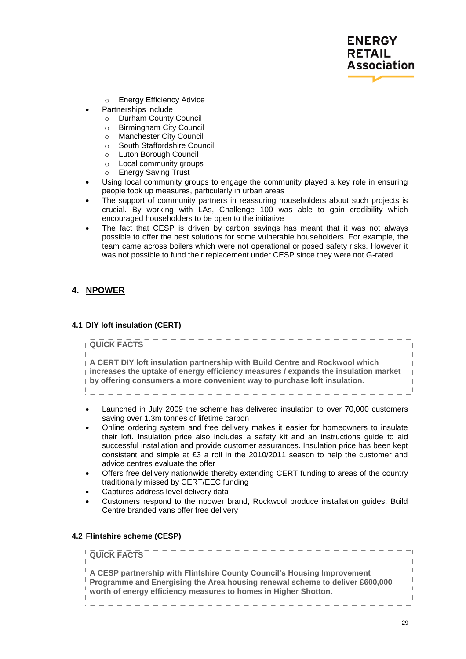

- o Energy Efficiency Advice
- Partnerships include
	- o Durham County Council
	- o Birmingham City Council
	- o Manchester City Council
	- o South Staffordshire Council
	- o Luton Borough Council
	- o Local community groups
	- o Energy Saving Trust
- Using local community groups to engage the community played a key role in ensuring people took up measures, particularly in urban areas
- The support of community partners in reassuring householders about such projects is crucial. By working with LAs, Challenge 100 was able to gain credibility which encouraged householders to be open to the initiative
- The fact that CESP is driven by carbon savings has meant that it was not always possible to offer the best solutions for some vulnerable householders. For example, the team came across boilers which were not operational or posed safety risks. However it was not possible to fund their replacement under CESP since they were not G-rated.

#### <span id="page-28-0"></span>**4. NPOWER**

#### <span id="page-28-1"></span>**4.1 DIY loft insulation (CERT)**

--------**QUICK FACTS**  $\mathbf{I}$ **A CERT DIY loft insulation partnership with Build Centre and Rockwool which increases the uptake of energy efficiency measures / expands the insulation market by offering consumers a more convenient way to purchase loft insulation.**  ---------------

- Launched in July 2009 the scheme has delivered insulation to over 70,000 customers saving over 1.3m tonnes of lifetime carbon
- Online ordering system and free delivery makes it easier for homeowners to insulate their loft. Insulation price also includes a safety kit and an instructions guide to aid successful installation and provide customer assurances. Insulation price has been kept consistent and simple at £3 a roll in the 2010/2011 season to help the customer and advice centres evaluate the offer
- Offers free delivery nationwide thereby extending CERT funding to areas of the country traditionally missed by CERT/EEC funding
- Captures address level delivery data
- Customers respond to the npower brand, Rockwool produce installation guides, Build Centre branded vans offer free delivery

#### <span id="page-28-2"></span>**4.2 Flintshire scheme (CESP)**

------------**L** QUICK FACTS  $\mathbf{I}$  $\mathbb T$ **A CESP partnership with Flintshire County Council's Housing Improvement Programme and Energising the Area housing renewal scheme to deliver £600,000 worth of energy efficiency measures to homes in Higher Shotton.**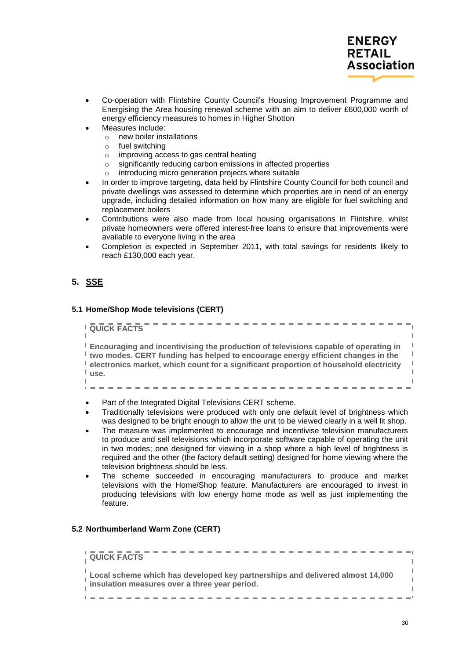

- Co-operation with Flintshire County Council"s Housing Improvement Programme and Energising the Area housing renewal scheme with an aim to deliver £600,000 worth of energy efficiency measures to homes in Higher Shotton
- Measures include:
	- o new boiler installations
	- o fuel switching
	- o improving access to gas central heating
	- o significantly reducing carbon emissions in affected properties
	- o introducing micro generation projects where suitable
- In order to improve targeting, data held by Flintshire County Council for both council and private dwellings was assessed to determine which properties are in need of an energy upgrade, including detailed information on how many are eligible for fuel switching and replacement boilers
- Contributions were also made from local housing organisations in Flintshire, whilst private homeowners were offered interest-free loans to ensure that improvements were available to everyone living in the area
- Completion is expected in September 2011, with total savings for residents likely to reach £130,000 each year.

## <span id="page-29-0"></span>**5. SSE**

#### <span id="page-29-1"></span>**5.1 Home/Shop Mode televisions (CERT)**

. . . . . . . . . . . . . . . **L** QUICK FACTS  $\mathbb T$ **Encouraging and incentivising the production of televisions capable of operating in two modes. CERT funding has helped to encourage energy efficient changes in the electronics market, which count for a significant proportion of household electricity**  I **use.** 

- Part of the Integrated Digital Televisions CERT scheme.
- Traditionally televisions were produced with only one default level of brightness which was designed to be bright enough to allow the unit to be viewed clearly in a well lit shop.

---------

- The measure was implemented to encourage and incentivise television manufacturers to produce and sell televisions which incorporate software capable of operating the unit in two modes; one designed for viewing in a shop where a high level of brightness is required and the other (the factory default setting) designed for home viewing where the television brightness should be less.
- The scheme succeeded in encouraging manufacturers to produce and market televisions with the Home/Shop feature. Manufacturers are encouraged to invest in producing televisions with low energy home mode as well as just implementing the feature.

#### <span id="page-29-2"></span>**5.2 Northumberland Warm Zone (CERT)**

| <b>QUICK FACTS</b>                                                                                                             |  |
|--------------------------------------------------------------------------------------------------------------------------------|--|
| Local scheme which has developed key partnerships and delivered almost 14,000<br>insulation measures over a three year period. |  |
|                                                                                                                                |  |